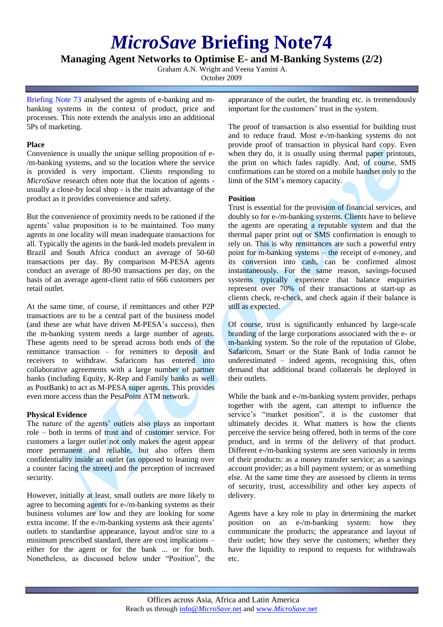# *MicroSave* **Briefing Note74**

# **Managing Agent Networks to Optimise E- and M-Banking Systems (2/2)**

Graham A.N. Wright and Veena Yamini A.

October 2009

[Briefing Note](http://www.microsave.org/briefing_notes/bn73-managing-agent-networks-mobile-banking-1) 73 analysed the agents of e-banking and mbanking systems in the context of product, price and processes. This note extends the analysis into an additional 5Ps of marketing.

## **Place**

Convenience is usually the unique selling proposition of e- /m-banking systems, and so the location where the service is provided is very important. Clients responding to *MicroSave* research often note that the location of agents usually a close-by local shop - is the main advantage of the product as it provides convenience and safety.

But the convenience of proximity needs to be rationed if the agents' value proposition is to be maintained. Too many agents in one locality will mean inadequate transactions for all. Typically the agents in the bank-led models prevalent in Brazil and South Africa conduct an average of 50-60 transactions per day. By comparison M-PESA agents conduct an average of 80-90 transactions per day, on the basis of an average agent-client ratio of 666 customers per retail outlet.

At the same time, of course, if remittances and other P2P transactions are to be a central part of the business model (and these are what have driven M-PESA's success), then the m-banking system needs a large number of agents. These agents need to be spread across both ends of the remittance transaction – for remitters to deposit and receivers to withdraw. Safaricom has entered into collaborative agreements with a large number of partner banks (including Equity, K-Rep and Family banks as well as PostBank) to act as M-PESA super agents. This provides even more access than the PesaPoint ATM network.

## **Physical Evidence**

The nature of the agents' outlets also plays an important role – both in terms of trust and of customer service. For customers a larger outlet not only makes the agent appear more permanent and reliable, but also offers them confidentiality inside an outlet (as opposed to leaning over a counter facing the street) and the perception of increased security.

However, initially at least, small outlets are more likely to agree to becoming agents for e-/m-banking systems as their business volumes are low and they are looking for some extra income. If the e-/m-banking systems ask their agents' outlets to standardise appearance, layout and/or size to a minimum prescribed standard, there are cost implications – either for the agent or for the bank ... or for both. Nonetheless, as discussed below under "Position", the appearance of the outlet, the branding etc. is tremendously important for the customers' trust in the system.

The proof of transaction is also essential for building trust and to reduce fraud. Most e-/m-banking systems do not provide proof of transaction in physical hard copy. Even when they do, it is usually using thermal paper printouts, the print on which fades rapidly. And, of course, SMS confirmations can be stored on a mobile handset only to the limit of the SIM's memory capacity.

## **Position**

Trust is essential for the provision of financial services, and doubly so for e-/m-banking systems. Clients have to believe the agents are operating a reputable system and that the thermal paper print out or SMS confirmation is enough to rely on. This is why remittances are such a powerful entry point for m-banking systems – the receipt of e-money, and its conversion into cash, can be confirmed almost instantaneously. For the same reason, savings-focused systems typically experience that balance enquiries represent over 70% of their transactions at start-up as clients check, re-check, and check again if their balance is still as expected.

Of course, trust is significantly enhanced by large-scale branding of the large corporations associated with the e- or m-banking system. So the role of the reputation of Globe, Safaricom, Smart or the State Bank of India cannot be underestimated – indeed agents, recognising this, often demand that additional brand collaterals be deployed in their outlets.

While the bank and e-/m-banking system provider, perhaps together with the agent, can attempt to influence the service's "market position", it is the customer that ultimately decides it. What matters is how the clients perceive the service being offered, both in terms of the core product, and in terms of the delivery of that product. Different e-/m-banking systems are seen variously in terms of their products: as a money transfer service; as a savings account provider; as a bill payment system; or as something else. At the same time they are assessed by clients in terms of security, trust, accessibility and other key aspects of delivery.

Agents have a key role to play in determining the market position on an e-/m-banking system: how they communicate the products; the appearance and layout of their outlet; how they serve the customers; whether they have the liquidity to respond to requests for withdrawals etc.